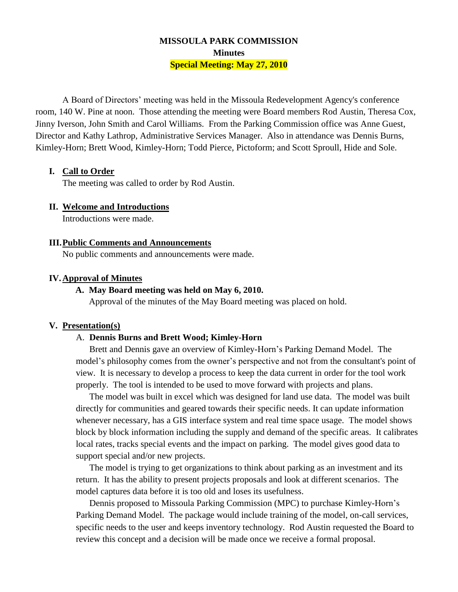# **MISSOULA PARK COMMISSION Minutes Special Meeting: May 27, 2010**

A Board of Directors' meeting was held in the Missoula Redevelopment Agency's conference room, 140 W. Pine at noon. Those attending the meeting were Board members Rod Austin, Theresa Cox, Jinny Iverson, John Smith and Carol Williams. From the Parking Commission office was Anne Guest, Director and Kathy Lathrop, Administrative Services Manager. Also in attendance was Dennis Burns, Kimley-Horn; Brett Wood, Kimley-Horn; Todd Pierce, Pictoform; and Scott Sproull, Hide and Sole.

### **I. Call to Order**

The meeting was called to order by Rod Austin.

### **II. Welcome and Introductions**

Introductions were made.

#### **III.Public Comments and Announcements**

No public comments and announcements were made.

#### **IV.Approval of Minutes**

#### **A. May Board meeting was held on May 6, 2010.**

Approval of the minutes of the May Board meeting was placed on hold.

#### **V. Presentation(s)**

## A. **Dennis Burns and Brett Wood; Kimley-Horn**

Brett and Dennis gave an overview of Kimley-Horn's Parking Demand Model. The model's philosophy comes from the owner's perspective and not from the consultant's point of view. It is necessary to develop a process to keep the data current in order for the tool work properly. The tool is intended to be used to move forward with projects and plans.

The model was built in excel which was designed for land use data. The model was built directly for communities and geared towards their specific needs. It can update information whenever necessary, has a GIS interface system and real time space usage. The model shows block by block information including the supply and demand of the specific areas. It calibrates local rates, tracks special events and the impact on parking. The model gives good data to support special and/or new projects.

The model is trying to get organizations to think about parking as an investment and its return. It has the ability to present projects proposals and look at different scenarios. The model captures data before it is too old and loses its usefulness.

Dennis proposed to Missoula Parking Commission (MPC) to purchase Kimley-Horn's Parking Demand Model. The package would include training of the model, on-call services, specific needs to the user and keeps inventory technology. Rod Austin requested the Board to review this concept and a decision will be made once we receive a formal proposal.